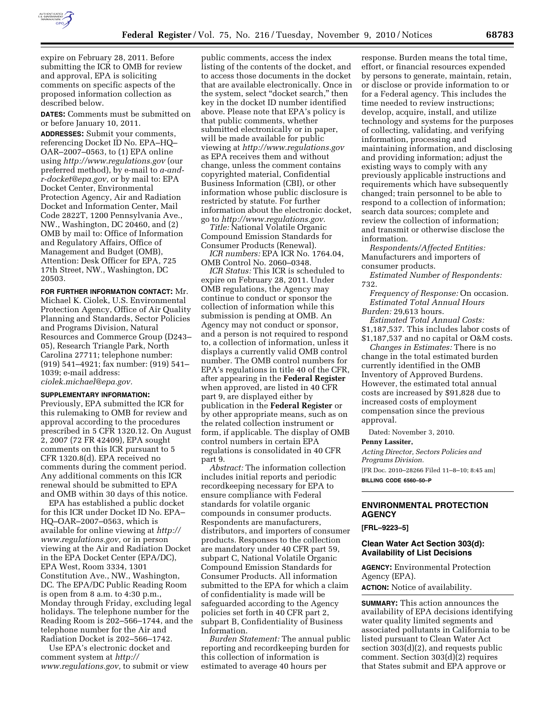

expire on February 28, 2011. Before submitting the ICR to OMB for review and approval, EPA is soliciting comments on specific aspects of the proposed information collection as described below.

**DATES:** Comments must be submitted on or before January 10, 2011.

**ADDRESSES:** Submit your comments, referencing Docket ID No. EPA–HQ– OAR–2007–0563, to (1) EPA online using *<http://www.regulations.gov>* (our preferred method), by e-mail to *[a-and](mailto:a-and-r-docket@epa.gov)[r-docket@epa.gov,](mailto:a-and-r-docket@epa.gov)* or by mail to: EPA Docket Center, Environmental Protection Agency, Air and Radiation Docket and Information Center, Mail Code 2822T, 1200 Pennsylvania Ave., NW., Washington, DC 20460, and (2) OMB by mail to: Office of Information and Regulatory Affairs, Office of Management and Budget (OMB), Attention: Desk Officer for EPA, 725 17th Street, NW., Washington, DC 20503.

**FOR FURTHER INFORMATION CONTACT:** Mr. Michael K. Ciolek, U.S. Environmental Protection Agency, Office of Air Quality Planning and Standards, Sector Policies and Programs Division, Natural Resources and Commerce Group (D243– 05), Research Triangle Park, North Carolina 27711; telephone number: (919) 541–4921; fax number: (919) 541– 1039; e-mail address: *[ciolek.michael@epa.gov.](mailto:ciolek.michael@epa.gov)* 

#### **SUPPLEMENTARY INFORMATION:**

Previously, EPA submitted the ICR for this rulemaking to OMB for review and approval according to the procedures prescribed in 5 CFR 1320.12. On August 2, 2007 (72 FR 42409), EPA sought comments on this ICR pursuant to 5 CFR 1320.8(d). EPA received no comments during the comment period. Any additional comments on this ICR renewal should be submitted to EPA and OMB within 30 days of this notice.

EPA has established a public docket for this ICR under Docket ID No. EPA– HQ–OAR–2007–0563, which is available for online viewing at *[http://](http://www.regulations.gov) [www.regulations.gov,](http://www.regulations.gov)* or in person viewing at the Air and Radiation Docket in the EPA Docket Center (EPA/DC), EPA West, Room 3334, 1301 Constitution Ave., NW., Washington, DC. The EPA/DC Public Reading Room is open from 8 a.m. to 4:30 p.m., Monday through Friday, excluding legal holidays. The telephone number for the Reading Room is 202–566–1744, and the telephone number for the Air and Radiation Docket is 202–566–1742.

Use EPA's electronic docket and comment system at *[http://](http://www.regulations.gov) [www.regulations.gov,](http://www.regulations.gov)* to submit or view public comments, access the index listing of the contents of the docket, and to access those documents in the docket that are available electronically. Once in the system, select "docket search," then key in the docket ID number identified above. Please note that EPA's policy is that public comments, whether submitted electronically or in paper, will be made available for public viewing at *<http://www.regulations.gov>* as EPA receives them and without change, unless the comment contains copyrighted material, Confidential Business Information (CBI), or other information whose public disclosure is restricted by statute. For further information about the electronic docket, go to *[http://www.regulations.gov.](http://www.regulations.gov)* 

*Title:* National Volatile Organic Compound Emission Standards for Consumer Products (Renewal).

*ICR numbers:* EPA ICR No. 1764.04, OMB Control No. 2060–0348.

*ICR Status:* This ICR is scheduled to expire on February 28, 2011. Under OMB regulations, the Agency may continue to conduct or sponsor the collection of information while this submission is pending at OMB. An Agency may not conduct or sponsor, and a person is not required to respond to, a collection of information, unless it displays a currently valid OMB control number. The OMB control numbers for EPA's regulations in title 40 of the CFR, after appearing in the **Federal Register**  when approved, are listed in 40 CFR part 9, are displayed either by publication in the **Federal Register** or by other appropriate means, such as on the related collection instrument or form, if applicable. The display of OMB control numbers in certain EPA regulations is consolidated in 40 CFR part 9.

*Abstract:* The information collection includes initial reports and periodic recordkeeping necessary for EPA to ensure compliance with Federal standards for volatile organic compounds in consumer products. Respondents are manufacturers, distributors, and importers of consumer products. Responses to the collection are mandatory under 40 CFR part 59, subpart C, National Volatile Organic Compound Emission Standards for Consumer Products. All information submitted to the EPA for which a claim of confidentiality is made will be safeguarded according to the Agency policies set forth in 40 CFR part 2, subpart B, Confidentiality of Business Information.

*Burden Statement:* The annual public reporting and recordkeeping burden for this collection of information is estimated to average 40 hours per

response. Burden means the total time, effort, or financial resources expended by persons to generate, maintain, retain, or disclose or provide information to or for a Federal agency. This includes the time needed to review instructions; develop, acquire, install, and utilize technology and systems for the purposes of collecting, validating, and verifying information, processing and maintaining information, and disclosing and providing information; adjust the existing ways to comply with any previously applicable instructions and requirements which have subsequently changed; train personnel to be able to respond to a collection of information; search data sources; complete and review the collection of information; and transmit or otherwise disclose the information.

*Respondents/Affected Entities:*  Manufacturers and importers of consumer products.

*Estimated Number of Respondents:*  732.

*Frequency of Response:* On occasion. *Estimated Total Annual Hours Burden:* 29,613 hours.

*Estimated Total Annual Costs:*  \$1,187,537. This includes labor costs of \$1,187,537 and no capital or O&M costs.

*Changes in Estimates:* There is no change in the total estimated burden currently identified in the OMB Inventory of Approved Burdens. However, the estimated total annual costs are increased by \$91,828 due to increased costs of employment compensation since the previous approval.

Dated: November 3, 2010.

#### **Penny Lassiter,**

*Acting Director, Sectors Policies and Programs Division.*  [FR Doc. 2010–28266 Filed 11–8–10; 8:45 am]

**BILLING CODE 6560–50–P** 

## **ENVIRONMENTAL PROTECTION AGENCY**

#### **[FRL–9223–5]**

### **Clean Water Act Section 303(d): Availability of List Decisions**

**AGENCY:** Environmental Protection Agency (EPA). **ACTION:** Notice of availability.

**SUMMARY:** This action announces the availability of EPA decisions identifying water quality limited segments and associated pollutants in California to be listed pursuant to Clean Water Act section 303(d)(2), and requests public comment. Section 303(d)(2) requires that States submit and EPA approve or